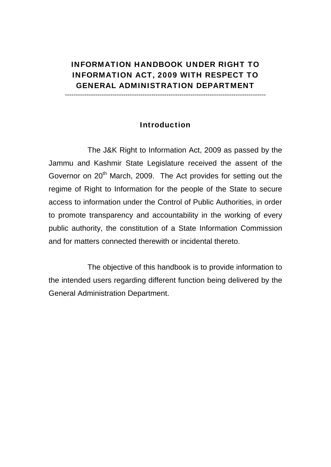# INFORMATION HANDBOOK UNDER RIGHT TO INFORMATION ACT, 2009 WITH RESPECT TO GENERAL ADMINISTRATION DEPARTMENT

---------------------------------------------------------------------------------------------

#### Introduction

 The J&K Right to Information Act, 2009 as passed by the Jammu and Kashmir State Legislature received the assent of the Governor on 20<sup>th</sup> March, 2009. The Act provides for setting out the regime of Right to Information for the people of the State to secure access to information under the Control of Public Authorities, in order to promote transparency and accountability in the working of every public authority, the constitution of a State Information Commission and for matters connected therewith or incidental thereto.

 The objective of this handbook is to provide information to the intended users regarding different function being delivered by the General Administration Department.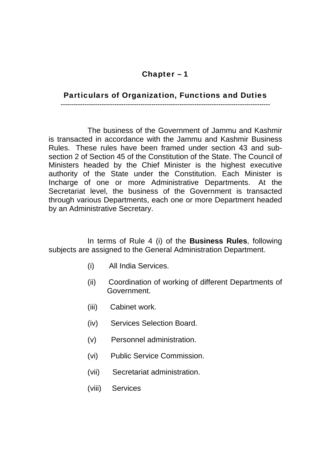### Particulars of Organization, Functions and Duties

**-------------------------------------------------------------------------------------------------** 

 The business of the Government of Jammu and Kashmir is transacted in accordance with the Jammu and Kashmir Business Rules. These rules have been framed under section 43 and subsection 2 of Section 45 of the Constitution of the State. The Council of Ministers headed by the Chief Minister is the highest executive authority of the State under the Constitution. Each Minister is Incharge of one or more Administrative Departments. At the Secretariat level, the business of the Government is transacted through various Departments, each one or more Department headed by an Administrative Secretary.

 In terms of Rule 4 (i) of the **Business Rules**, following subjects are assigned to the General Administration Department.

- (i) All India Services.
- (ii) Coordination of working of different Departments of Government.
- (iii) Cabinet work.
- (iv) Services Selection Board.
- (v) Personnel administration.
- (vi) Public Service Commission.
- (vii) Secretariat administration.
- (viii) Services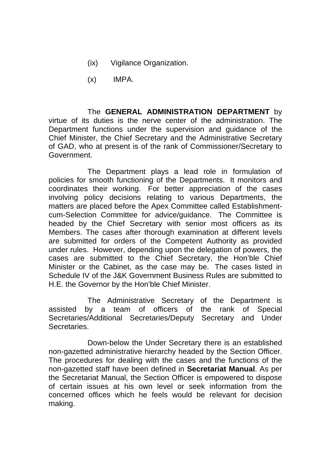- (ix) Vigilance Organization.
- (x) IMPA.

 The **GENERAL ADMINISTRATION DEPARTMENT** by virtue of its duties is the nerve center of the administration. The Department functions under the supervision and guidance of the Chief Minister, the Chief Secretary and the Administrative Secretary of GAD, who at present is of the rank of Commissioner/Secretary to Government.

 The Department plays a lead role in formulation of policies for smooth functioning of the Departments. It monitors and coordinates their working. For better appreciation of the cases involving policy decisions relating to various Departments, the matters are placed before the Apex Committee called Establishmentcum-Selection Committee for advice/guidance. The Committee is headed by the Chief Secretary with senior most officers as its Members. The cases after thorough examination at different levels are submitted for orders of the Competent Authority as provided under rules. However, depending upon the delegation of powers, the cases are submitted to the Chief Secretary, the Hon'ble Chief Minister or the Cabinet, as the case may be. The cases listed in Schedule IV of the J&K Government Business Rules are submitted to H.E. the Governor by the Hon'ble Chief Minister.

 The Administrative Secretary of the Department is assisted by a team of officers of the rank of Special Secretaries/Additional Secretaries/Deputy Secretary and Under Secretaries.

 Down-below the Under Secretary there is an established non-gazetted administrative hierarchy headed by the Section Officer. The procedures for dealing with the cases and the functions of the non-gazetted staff have been defined in **Secretariat Manual**. As per the Secretariat Manual, the Section Officer is empowered to dispose of certain issues at his own level or seek information from the concerned offices which he feels would be relevant for decision making.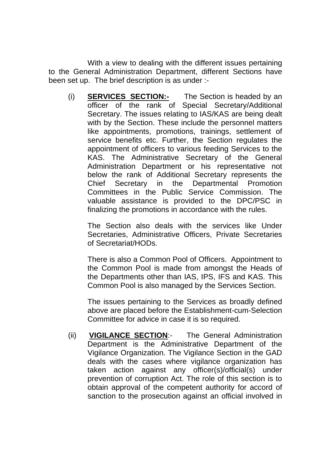With a view to dealing with the different issues pertaining to the General Administration Department, different Sections have been set up. The brief description is as under :-

(i) **SERVICES SECTION:-** The Section is headed by an officer of the rank of Special Secretary/Additional Secretary. The issues relating to IAS/KAS are being dealt with by the Section. These include the personnel matters like appointments, promotions, trainings, settlement of service benefits etc. Further, the Section regulates the appointment of officers to various feeding Services to the KAS. The Administrative Secretary of the General Administration Department or his representative not below the rank of Additional Secretary represents the Chief Secretary in the Departmental Promotion Committees in the Public Service Commission. The valuable assistance is provided to the DPC/PSC in finalizing the promotions in accordance with the rules.

The Section also deals with the services like Under Secretaries, Administrative Officers, Private Secretaries of Secretariat/HODs.

There is also a Common Pool of Officers. Appointment to the Common Pool is made from amongst the Heads of the Departments other than IAS, IPS, IFS and KAS. This Common Pool is also managed by the Services Section.

The issues pertaining to the Services as broadly defined above are placed before the Establishment-cum-Selection Committee for advice in case it is so required.

(ii) **VIGILANCE SECTION**:- The General Administration Department is the Administrative Department of the Vigilance Organization. The Vigilance Section in the GAD deals with the cases where vigilance organization has taken action against any officer(s)/official(s) under prevention of corruption Act. The role of this section is to obtain approval of the competent authority for accord of sanction to the prosecution against an official involved in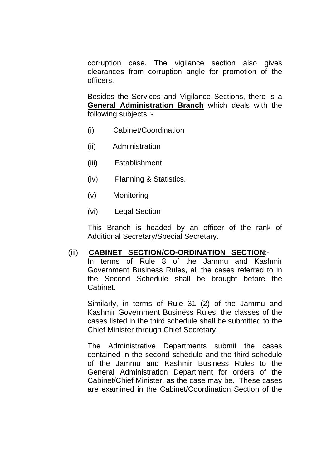corruption case. The vigilance section also gives clearances from corruption angle for promotion of the officers.

Besides the Services and Vigilance Sections, there is a **General Administration Branch** which deals with the following subjects :-

- (i) Cabinet/Coordination
- (ii) Administration
- (iii) Establishment
- (iv) Planning & Statistics.
- (v) Monitoring
- (vi) Legal Section

This Branch is headed by an officer of the rank of Additional Secretary/Special Secretary.

#### (iii) **CABINET SECTION/CO-ORDINATION SECTION**:-

In terms of Rule 8 of the Jammu and Kashmir Government Business Rules, all the cases referred to in the Second Schedule shall be brought before the Cabinet.

Similarly, in terms of Rule 31 (2) of the Jammu and Kashmir Government Business Rules, the classes of the cases listed in the third schedule shall be submitted to the Chief Minister through Chief Secretary.

The Administrative Departments submit the cases contained in the second schedule and the third schedule of the Jammu and Kashmir Business Rules to the General Administration Department for orders of the Cabinet/Chief Minister, as the case may be. These cases are examined in the Cabinet/Coordination Section of the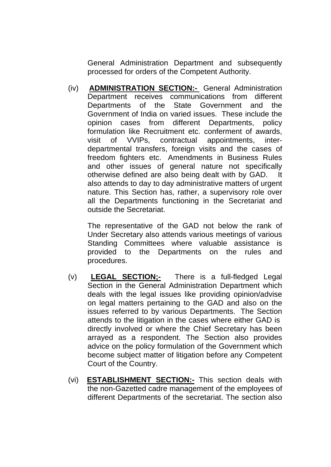General Administration Department and subsequently processed for orders of the Competent Authority.

(iv) **ADMINISTRATION SECTION:-** General Administration Department receives communications from different Departments of the State Government and the Government of India on varied issues. These include the opinion cases from different Departments, policy formulation like Recruitment etc. conferment of awards, visit of VVIPs, contractual appointments, interdepartmental transfers, foreign visits and the cases of freedom fighters etc. Amendments in Business Rules and other issues of general nature not specifically otherwise defined are also being dealt with by GAD. It also attends to day to day administrative matters of urgent nature. This Section has, rather, a supervisory role over all the Departments functioning in the Secretariat and outside the Secretariat.

The representative of the GAD not below the rank of Under Secretary also attends various meetings of various Standing Committees where valuable assistance is provided to the Departments on the rules and procedures.

- (v) **LEGAL SECTION;-** There is a full-fledged Legal Section in the General Administration Department which deals with the legal issues like providing opinion/advise on legal matters pertaining to the GAD and also on the issues referred to by various Departments. The Section attends to the litigation in the cases where either GAD is directly involved or where the Chief Secretary has been arrayed as a respondent. The Section also provides advice on the policy formulation of the Government which become subject matter of litigation before any Competent Court of the Country.
- (vi) **ESTABLISHMENT SECTION:-** This section deals with the non-Gazetted cadre management of the employees of different Departments of the secretariat. The section also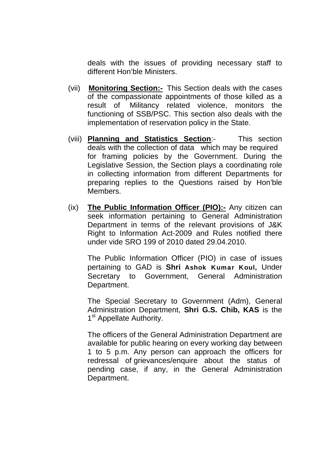deals with the issues of providing necessary staff to different Hon'ble Ministers.

- (vii) **Monitoring Section:-** This Section deals with the cases of the compassionate appointments of those killed as a result of Militancy related violence, monitors the functioning of SSB/PSC. This section also deals with the implementation of reservation policy in the State.
- (viii) **Planning and Statistics Section**:- This section deals with the collection of data which may be required for framing policies by the Government. During the Legislative Session, the Section plays a coordinating role in collecting information from different Departments for preparing replies to the Questions raised by Hon'ble Members.
- (ix) **The Public Information Officer (PIO):-** Any citizen can seek information pertaining to General Administration Department in terms of the relevant provisions of J&K Right to Information Act-2009 and Rules notified there under vide SRO 199 of 2010 dated 29.04.2010.

The Public Information Officer (PIO) in case of issues pertaining to GAD is **Shri** Ashok Kumar Koul, Under Secretary to Government, General Administration Department.

The Special Secretary to Government (Adm), General Administration Department, **Shri G.S. Chib, KAS** is the 1<sup>st</sup> Appellate Authority.

The officers of the General Administration Department are available for public hearing on every working day between 1 to 5 p.m. Any person can approach the officers for redressal of grievances/enquire about the status of pending case, if any, in the General Administration Department.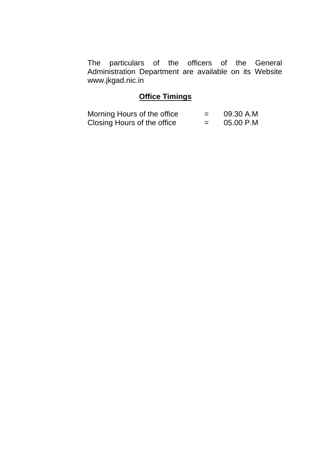The particulars of the officers of the General Administration Department are available on its Website www.jkgad.nic.in

# **Office Timings**

| Morning Hours of the office |     | 09.30 A.M |
|-----------------------------|-----|-----------|
| Closing Hours of the office | $=$ | 05.00 P.M |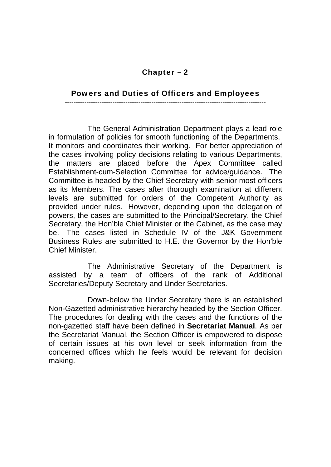#### Powers and Duties of Officers and Employees

**---------------------------------------------------------------------------------------------** 

 The General Administration Department plays a lead role in formulation of policies for smooth functioning of the Departments. It monitors and coordinates their working. For better appreciation of the cases involving policy decisions relating to various Departments, the matters are placed before the Apex Committee called Establishment-cum-Selection Committee for advice/guidance. The Committee is headed by the Chief Secretary with senior most officers as its Members. The cases after thorough examination at different levels are submitted for orders of the Competent Authority as provided under rules. However, depending upon the delegation of powers, the cases are submitted to the Principal/Secretary, the Chief Secretary, the Hon'ble Chief Minister or the Cabinet, as the case may be. The cases listed in Schedule IV of the J&K Government Business Rules are submitted to H.E. the Governor by the Hon'ble Chief Minister.

 The Administrative Secretary of the Department is assisted by a team of officers of the rank of Additional Secretaries/Deputy Secretary and Under Secretaries.

 Down-below the Under Secretary there is an established Non-Gazetted administrative hierarchy headed by the Section Officer. The procedures for dealing with the cases and the functions of the non-gazetted staff have been defined in **Secretariat Manual**. As per the Secretariat Manual, the Section Officer is empowered to dispose of certain issues at his own level or seek information from the concerned offices which he feels would be relevant for decision making.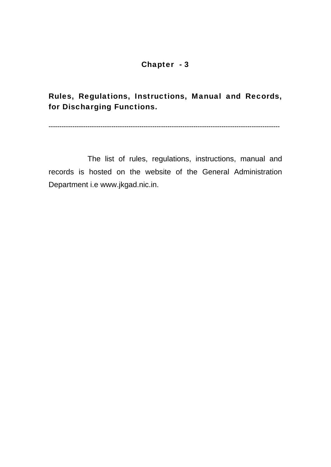Rules, Regulations, Instructions, Manual and Records, for Discharging Functions.

**-----------------------------------------------------------------------------------------------------------** 

 The list of rules, regulations, instructions, manual and records is hosted on the website of the General Administration Department i.e www.jkgad.nic.in.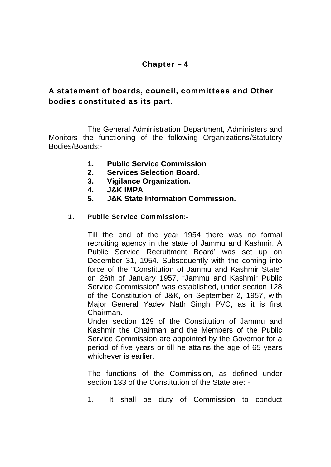## A statement of boards, council, committees and Other bodies constituted as its part.

**----------------------------------------------------------------------------------------------------------** 

 The General Administration Department, Administers and Monitors the functioning of the following Organizations/Statutory Bodies/Boards:-

- **1. Public Service Commission**
- **2. Services Selection Board.**
- **3. Vigilance Organization.**
- **4. J&K IMPA**
- **5. J&K State Information Commission.**

#### 1. Public Service Commission:-

Till the end of the year 1954 there was no formal recruiting agency in the state of Jammu and Kashmir. A Public Service Recruitment Board' was set up on December 31, 1954. Subsequently with the coming into force of the "Constitution of Jammu and Kashmir State" on 26th of January 1957, "Jammu and Kashmir Public Service Commission" was established, under section 128 of the Constitution of J&K, on September 2, 1957, with Major General Yadev Nath Singh PVC, as it is first Chairman.

Under section 129 of the Constitution of Jammu and Kashmir the Chairman and the Members of the Public Service Commission are appointed by the Governor for a period of five years or till he attains the age of 65 years whichever is earlier.

The functions of the Commission, as defined under section 133 of the Constitution of the State are: -

1. It shall be duty of Commission to conduct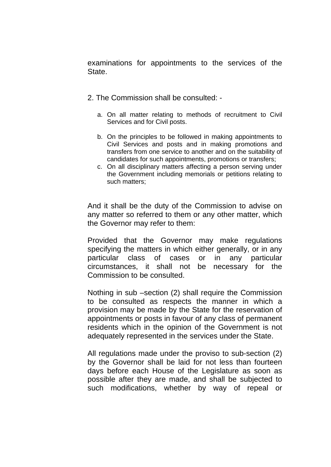examinations for appointments to the services of the State.

- 2. The Commission shall be consulted:
	- a. On all matter relating to methods of recruitment to Civil Services and for Civil posts.
	- b. On the principles to be followed in making appointments to Civil Services and posts and in making promotions and transfers from one service to another and on the suitability of candidates for such appointments, promotions or transfers;
	- c. On all disciplinary matters affecting a person serving under the Government including memorials or petitions relating to such matters;

And it shall be the duty of the Commission to advise on any matter so referred to them or any other matter, which the Governor may refer to them:

Provided that the Governor may make regulations specifying the matters in which either generally, or in any particular class of cases or in any particular circumstances, it shall not be necessary for the Commission to be consulted.

Nothing in sub –section (2) shall require the Commission to be consulted as respects the manner in which a provision may be made by the State for the reservation of appointments or posts in favour of any class of permanent residents which in the opinion of the Government is not adequately represented in the services under the State.

All regulations made under the proviso to sub-section (2) by the Governor shall be laid for not less than fourteen days before each House of the Legislature as soon as possible after they are made, and shall be subjected to such modifications, whether by way of repeal or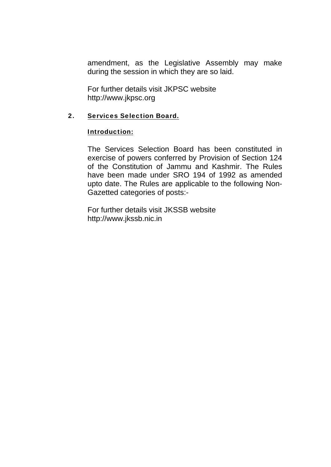amendment, as the Legislative Assembly may make during the session in which they are so laid.

For further details visit JKPSC website http://www.jkpsc.org

#### 2. Services Selection Board.

#### Introduction:

The Services Selection Board has been constituted in exercise of powers conferred by Provision of Section 124 of the Constitution of Jammu and Kashmir. The Rules have been made under SRO 194 of 1992 as amended upto date. The Rules are applicable to the following Non-Gazetted categories of posts:-

For further details visit JKSSB website http://www.jkssb.nic.in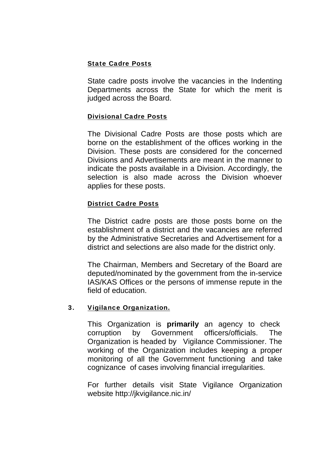#### State Cadre Posts

State cadre posts involve the vacancies in the Indenting Departments across the State for which the merit is judged across the Board.

#### Divisional Cadre Posts

The Divisional Cadre Posts are those posts which are borne on the establishment of the offices working in the Division. These posts are considered for the concerned Divisions and Advertisements are meant in the manner to indicate the posts available in a Division. Accordingly, the selection is also made across the Division whoever applies for these posts.

#### District Cadre Posts

The District cadre posts are those posts borne on the establishment of a district and the vacancies are referred by the Administrative Secretaries and Advertisement for a district and selections are also made for the district only.

The Chairman, Members and Secretary of the Board are deputed/nominated by the government from the in-service IAS/KAS Offices or the persons of immense repute in the field of education.

#### 3. Vigilance Organization.

This Organization is **primarily** an agency to check corruption by Government officers/officials. The Organization is headed by Vigilance Commissioner. The working of the Organization includes keeping a proper monitoring of all the Government functioning and take cognizance of cases involving financial irregularities.

For further details visit State Vigilance Organization website http://jkvigilance.nic.in/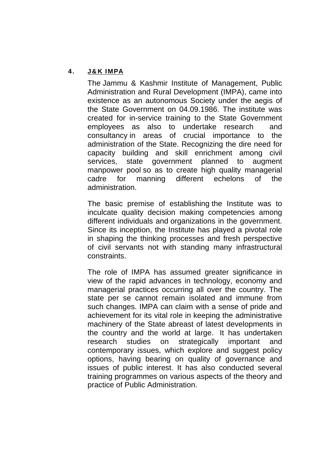#### 4. J&K IMPA

The Jammu & Kashmir Institute of Management, Public Administration and Rural Development (IMPA), came into existence as an autonomous Society under the aegis of the State Government on 04.09.1986. The institute was created for in-service training to the State Government employees as also to undertake research and consultancy in areas of crucial importance to the administration of the State. Recognizing the dire need for capacity building and skill enrichment among civil services, state government planned to augment manpower pool so as to create high quality managerial cadre for manning different echelons of the administration.

The basic premise of establishing the Institute was to inculcate quality decision making competencies among different individuals and organizations in the government. Since its inception, the Institute has played a pivotal role in shaping the thinking processes and fresh perspective of civil servants not with standing many infrastructural constraints.

The role of IMPA has assumed greater significance in view of the rapid advances in technology, economy and managerial practices occurring all over the country. The state per se cannot remain isolated and immune from such changes. IMPA can claim with a sense of pride and achievement for its vital role in keeping the administrative machinery of the State abreast of latest developments in the country and the world at large. It has undertaken research studies on strategically important and contemporary issues, which explore and suggest policy options, having bearing on quality of governance and issues of public interest. It has also conducted several training programmes on various aspects of the theory and practice of Public Administration.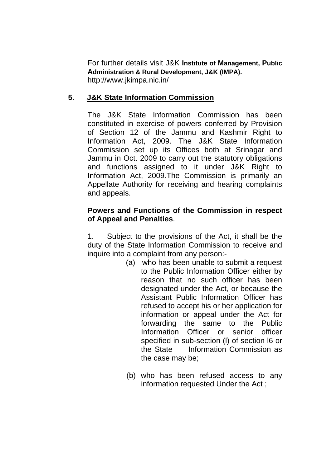For further details visit J&K **Institute of Management, Public Administration & Rural Development, J&K (IMPA).**  http://www.jkimpa.nic.in/

## **5**. **J&K State Information Commission**

The J&K State Information Commission has been constituted in exercise of powers conferred by Provision of Section 12 of the Jammu and Kashmir Right to Information Act, 2009. The J&K State Information Commission set up its Offices both at Srinagar and Jammu in Oct. 2009 to carry out the statutory obligations and functions assigned to it under J&K Right to Information Act, 2009.The Commission is primarily an Appellate Authority for receiving and hearing complaints and appeals.

### **Powers and Functions of the Commission in respect of Appeal and Penalties**.

1. Subject to the provisions of the Act, it shall be the duty of the State Information Commission to receive and inquire into a complaint from any person:-

- (a) who has been unable to submit a request to the Public Information Officer either by reason that no such officer has been designated under the Act, or because the Assistant Public Information Officer has refused to accept his or her application for information or appeal under the Act for forwarding the same to the Public Information Officer or senior officer specified in sub-section (l) of section l6 or the State Information Commission as the case may be;
- (b) who has been refused access to any information requested Under the Act ;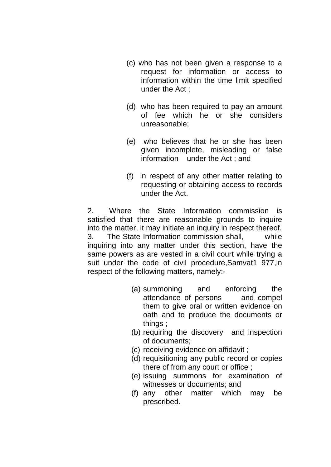- (c) who has not been given a response to a request for information or access to information within the time limit specified under the Act ;
- (d) who has been required to pay an amount of fee which he or she considers unreasonable;
- (e) who believes that he or she has been given incomplete, misleading or false information under the Act ; and
- (f) in respect of any other matter relating to requesting or obtaining access to records under the Act.

2. Where the State Information commission is satisfied that there are reasonable grounds to inquire into the matter, it may initiate an inquiry in respect thereof. 3. The State Information commission shall, while inquiring into any matter under this section, have the same powers as are vested in a civil court while trying a suit under the code of civil procedure,Samvat1 977,in respect of the following matters, namely:-

- (a) summoning and enforcing the attendance of persons and compel them to give oral or written evidence on oath and to produce the documents or things ;
- (b) requiring the discovery and inspection of documents;
- (c) receiving evidence on affidavit ;
- (d) requisitioning any public record or copies there of from any court or office ;
- (e) issuing summons for examination of witnesses or documents; and
- (f) any other matter which may be prescribed.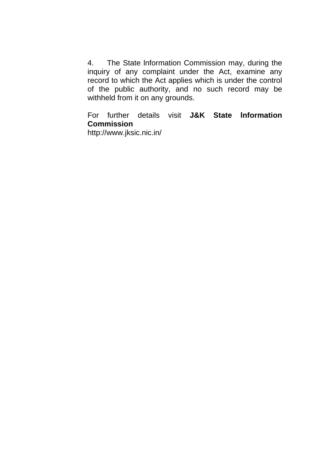4. The State lnformation Commission may, during the inquiry of any complaint under the Act, examine any record to which the Act applies which is under the control of the public authority, and no such record may be withheld from it on any grounds.

For further details visit **J&K State lnformation Commission** http://www.jksic.nic.in/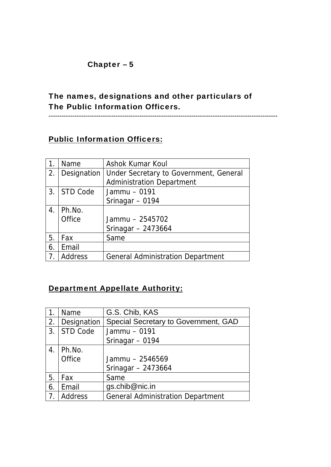# The names, designations and other particulars of The Public Information Officers.

**----------------------------------------------------------------------------------------------------------** 

# **Public Information Officers:**

|             | Name          | Ashok Kumar Koul                         |
|-------------|---------------|------------------------------------------|
| 2.          | Designation   | Under Secretary to Government, General   |
|             |               | <b>Administration Department</b>         |
|             | 3. STD Code   | Jammu - 0191                             |
|             |               | Srinagar - 0194                          |
| $4_{\cdot}$ | Ph.No.        |                                          |
|             | <b>Office</b> | Jammu - 2545702                          |
|             |               | Srinagar $-2473664$                      |
| 5.          | Fax           | Same                                     |
| 6.          | Email         |                                          |
|             | Address       | <b>General Administration Department</b> |

## Department Appellate Authority:

|    | Name           | G.S. Chib, KAS                           |
|----|----------------|------------------------------------------|
| 2. | Designation    | Special Secretary to Government, GAD     |
| 3. | STD Code       | Jammu - 0191                             |
|    |                | Srinagar - 0194                          |
| 4. | Ph.No.         |                                          |
|    | <b>Office</b>  | Jammu - 2546569                          |
|    |                | Srinagar $-2473664$                      |
| 5. | Fax            | Same                                     |
| 6. | Email          | gs.chib@nic.in                           |
|    | <b>Address</b> | <b>General Administration Department</b> |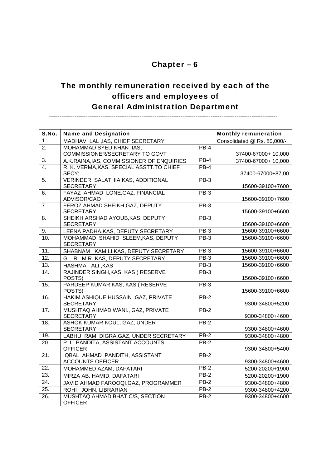# The monthly remuneration received by each of the officers and employees of General Administration Department

**----------------------------------------------------------------------------------------------------------**  S.No. | Name and Designation Monthly remuneration 1. MADHAV LAL, IAS, CHIEF SECRETARY | Consolidated @ Rs. 80,000/-2. MOHAMMAD SYED KHAN ,IAS, COMMISSIONER/SECRETARY TO GOVT PB-4 37400-67000+ 10,000 3. A.K.RAINA, IAS, COMMISSIONER OF ENQUIRIES PB-4 37400-67000+ 10,000<br>4. R. K. VERMA. KAS. SPECIAL ASSTT. TO CHIEF PB-4 4. R. K. VERMA,KAS, SPECIAL ASSTT.TO CHIEF SECY; PB-4 37400-67000+87,00 5. VERINDER SALATHIA,KAS, ADDITIONAL **SECRETARY**  PB-3 15600-39100+7600 6. FAYAZ AHMAD LONE,GAZ, FINANCIAL ADVISOR/CAO PB-3 15600-39100+7600 7. FEROZ AHMAD SHEIKH,GAZ, DEPUTY **SECRETARY** PB-3 15600-39100+6600 8. SHEIKH ARSHAD AYOUB,KAS, DEPUTY **SECRETARY**  PB-3 15600-39100+6600 9. LEENA PADHA, KAS, DEPUTY SECRETARY | PB-3 15600-39100+6600 10. MOHAMMAD SHAHID SLEEM,KAS, DEPUTY **SECRETARY**  PB-3 15600-39100+6600 11. SHABNAM KAMILI, KAS, DEPUTY SECRETARY PB-3 15600-39100+6600<br>12. G R MIR KAS DEPUTY SECRETARY PB-3 15600-39100+6600 G . R. MIR., KAS, DEPUTY SECRETARY 13. HASHMAT ALI ,KAS PB-3 15600-39100+6600 14. RAJINDER SINGH,KAS, KAS ( RESERVE POSTS) PB-3 15600-39100+6600 15. PARDEEP KUMAR,KAS, KAS ( RESERVE POSTS) PB-3 15600-39100+6600 16. HAKIM ASHIQUE HUSSAIN ,GAZ, PRIVATE **SECRETARY** PB-2 9300-34800+5200 17. MUSHTAQ AHMAD WANI., GAZ, PRIVATE SECRETARY PB-2 9300-34800+4600 18. ASHOK KUMAR KOUL, GAZ, UNDER SECRETARY PB-2 9300-34800+4600 19. LABHU RAM DIGRA, GAZ, UNDER SECRETARY PB-2 9300-34800+4800 20. P. L. PANDITA, ASSISTANT ACCOUNTS **OFFICER** PB-2 9300-34800+5400 21. IQBAL AHMAD PANDITH, ASSISTANT ACCOUNTS OFFICER PB-2 9300-34800+4600 22. MOHAMMED AZAM, DAFATARI PB-2 5200-20200+1900 23. MIRZA AB. HAMID, DAFATARI | PB-2 5200-20200+1900 24. JAVID AHMAD FAROOQI, GAZ, PROGRAMMER | PB-2 9300-34800+4800 25. ROHI JOHN, LIBRARIAN PB-2 9300-34800+4200 26. MUSHTAQ AHMAD BHAT C/S, SECTION **OFFICER** PB-2 9300-34800+4600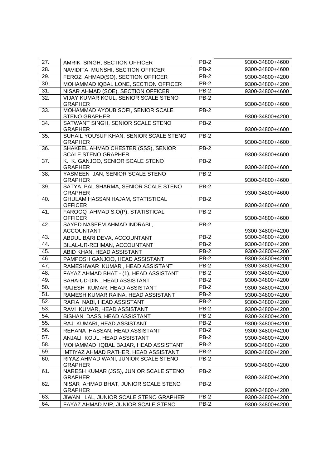| 27.               | AMRIK SINGH, SECTION OFFICER                           | <b>PB-2</b> | 9300-34800+4600 |
|-------------------|--------------------------------------------------------|-------------|-----------------|
| 28.               | NAVIDITA MUNSHI, SECTION OFFICER                       | PB-2        | 9300-34800+4600 |
| 29.               | FEROZ AHMAD(SO), SECTION OFFICER                       | <b>PB-2</b> | 9300-34800+4200 |
| 30.               | MOHAMMAD IQBAL LONE, SECTION OFFICER                   | $PB-2$      | 9300-34800+4200 |
| 31.               | NISAR AHMAD (SOE), SECTION OFFICER                     | <b>PB-2</b> | 9300-34800+4600 |
| 32.               | VIJAY KUMAR KOUL, SENIOR SCALE STENO                   | $PB-2$      |                 |
|                   | <b>GRAPHER</b>                                         |             | 9300-34800+4600 |
| 33.               | MOHAMMAD AYOUB SOFI, SENIOR SCALE                      | $PB-2$      |                 |
|                   | <b>STENO GRAPHER</b>                                   |             | 9300-34800+4200 |
| 34.               | SATWANT SINGH, SENIOR SCALE STENO<br><b>GRAPHER</b>    | $PB-2$      | 9300-34800+4600 |
| 35.               | SUHAIL YOUSUF KHAN, SENIOR SCALE STENO                 | PB-2        |                 |
|                   | <b>GRAPHER</b>                                         |             | 9300-34800+4600 |
| 36.               | SHAKEEL AHMAD CHESTER (SSS), SENIOR                    | $PB-2$      |                 |
|                   | <b>SCALE STENO GRAPHER</b>                             |             | 9300-34800+4600 |
| 37.               | K. K. GANJOO, SENIOR SCALE STENO                       | $PB-2$      |                 |
|                   | <b>GRAPHER</b>                                         |             | 9300-34800+4600 |
| 38.               | YASMEEN JAN, SENIOR SCALE STENO                        | PB-2        |                 |
|                   | <b>GRAPHER</b>                                         |             | 9300-34800+4600 |
| 39.               | SATYA PAL SHARMA, SENIOR SCALE STENO<br><b>GRAPHER</b> | <b>PB-2</b> | 9300-34800+4600 |
| 40.               | <b>GHULAM HASSAN HAJAM, STATISTICAL</b>                | PB-2        |                 |
|                   | <b>OFFICER</b>                                         |             | 9300-34800+4600 |
| 41.               | FAROOQ AHMAD S.O(P), STATISTICAL                       | $PB-2$      |                 |
|                   | <b>OFFICER</b>                                         |             | 9300-34800+4600 |
| 42.               | SAYED NASEEM AHMAD INDRABI,                            | PB-2        |                 |
|                   | <b>ACCOUNTANT</b>                                      |             | 9300-34800+4200 |
| 43.               | ABDUL BARI DEVA, ACCOUNTANT                            | PB-2        | 9300-34800+4200 |
| 44.               | BILAL-UR-REHMAN, ACCOUNTANT                            | PB-2        | 9300-34800+4200 |
| 45.               | ABID KHAN, HEAD ASSISTANT                              | PB-2        | 9300-34800+4200 |
| 46.               | PAMPOSH GANJOO, HEAD ASSISTANT                         | $PB-2$      | 9300-34800+4200 |
| 47.               | RAMESHWAR KUMAR, HEAD ASSISTANT                        | <b>PB-2</b> | 9300-34800+4200 |
| 48.               | FAYAZ AHMAD BHAT - (1), HEAD ASSISTANT                 | $PB-2$      | 9300-34800+4200 |
| 49.               | BAHA-UD-DIN, HEAD ASSISTANT                            | $PB-2$      | 9300-34800+4200 |
| 50.               | RAJESH KUMAR, HEAD ASSISTANT                           | PB-2        | 9300-34800+4200 |
| 51.               | RAMESH KUMAR RAINA, HEAD ASSISTANT                     | PB-2        | 9300-34800+4200 |
| 52.               | RAFIA NABI, HEAD ASSISTANT                             | PB-2        | 9300-34800+4200 |
| $\overline{53}$ . | RAVI KUMAR, HEAD ASSISTANT                             | $PB-2$      | 9300-34800+4200 |
| 54.               | BISHAN DASS, HEAD ASSISTANT                            | $PB-2$      | 9300-34800+4200 |
| 55.               | RAJ KUMARI, HEAD ASSISTANT                             | PB-2        | 9300-34800+4200 |
| 56.               | REHANA HASSAN, HEAD ASSISTANT                          | $PB-2$      | 9300-34800+4200 |
| 57.               | ANJALI KOUL, HEAD ASSISTANT                            | PB-2        | 9300-34800+4200 |
| 58.               | MOHAMMAD IQBAL BAJAR, HEAD ASSISTANT                   | PB-2        | 9300-34800+4200 |
| 59.               | IMTIYAZ AHMAD RATHER, HEAD ASSISTANT                   | PB-2        | 9300-34800+4200 |
| 60.               | RIYAZ AHMAD WANI, JUNIOR SCALE STENO                   | <b>PB-2</b> |                 |
|                   | <b>GRAPHER</b>                                         |             | 9300-34800+4200 |
| 61.               | NARESH KUMAR (JSS), JUNIOR SCALE STENO                 | PB-2        |                 |
| 62.               | <b>GRAPHER</b><br>NISAR AHMAD BHAT, JUNIOR SCALE STENO | PB-2        | 9300-34800+4200 |
|                   | <b>GRAPHER</b>                                         |             | 9300-34800+4200 |
| 63.               | JIWAN LAL, JUNIOR SCALE STENO GRAPHER                  | $PB-2$      | 9300-34800+4200 |
| 64.               | FAYAZ AHMAD MIR, JUNIOR SCALE STENO                    | PB-2        | 9300-34800+4200 |
|                   |                                                        |             |                 |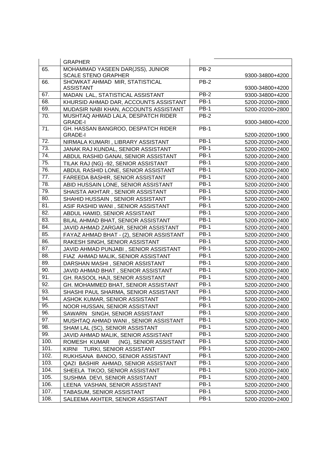|      | <b>GRAPHER</b>                                       |             |                 |
|------|------------------------------------------------------|-------------|-----------------|
| 65.  | MOHAMMAD YASEEN DAR(JSS), JUNIOR                     | <b>PB-2</b> |                 |
|      | <b>SCALE STENO GRAPHER</b>                           |             | 9300-34800+4200 |
| 66.  | SHOWKAT AHMAD MIR, STATISTICAL                       | PB-2        |                 |
|      | <b>ASSISTANT</b>                                     |             | 9300-34800+4200 |
| 67.  | MADAN LAL, STATISTICAL ASSISTANT                     | $PB-2$      | 9300-34800+4200 |
| 68.  | KHURSID AHMAD DAR, ACCOUNTS ASSISTANT                | <b>PB-1</b> | 5200-20200+2800 |
| 69.  | MUDASIR NABI KHAN, ACCOUNTS ASSISTANT                | <b>PB-1</b> | 5200-20200+2800 |
| 70.  | MUSHTAQ AHMAD LALA, DESPATCH RIDER                   | <b>PB-2</b> |                 |
|      | <b>GRADE-I</b><br>GH. HASSAN BANGROO, DESPATCH RIDER | <b>PB-1</b> | 9300-34800+4200 |
| 71.  | <b>GRADE-I</b>                                       |             | 5200-20200+1900 |
| 72.  | NIRMALA KUMARI, LIBRARY ASSISTANT                    | <b>PB-1</b> | 5200-20200+2400 |
| 73.  | JANAK RAJ KUNDAL, SENIOR ASSISTANT                   | <b>PB-1</b> | 5200-20200+2400 |
| 74.  | ABDUL RASHID GANAI, SENIOR ASSISTANT                 | <b>PB-1</b> | 5200-20200+2400 |
| 75.  | TILAK RAJ (NG) -92, SENIOR ASSISTANT                 | <b>PB-1</b> | 5200-20200+2400 |
| 76.  | ABDUL RASHID LONE, SENIOR ASSISTANT                  | <b>PB-1</b> | 5200-20200+2400 |
| 77.  | FAREEDA BASHIR, SENIOR ASSISTANT                     | <b>PB-1</b> | 5200-20200+2400 |
| 78.  | ABID HUSSAIN LONE, SENIOR ASSISTANT                  | <b>PB-1</b> | 5200-20200+2400 |
| 79.  | SHAISTA AKHTAR, SENIOR ASSISTANT                     | <b>PB-1</b> | 5200-20200+2400 |
| 80.  | SHAHID HUSSAIN, SENIOR ASSISTANT                     | <b>PB-1</b> | 5200-20200+2400 |
| 81.  | ASIF RASHID WANI, SENIOR ASSISTANT                   | <b>PB-1</b> | 5200-20200+2400 |
| 82.  | ABDUL HAMID, SENIOR ASSISTANT                        | <b>PB-1</b> | 5200-20200+2400 |
| 83.  | BILAL AHMAD BHAT, SENIOR ASSISTANT                   | <b>PB-1</b> | 5200-20200+2400 |
| 84.  | JAVID AHMAD ZARGAR, SENIOR ASSISTANT                 | <b>PB-1</b> | 5200-20200+2400 |
| 85.  | FAYAZ AHMAD BHAT - (2), SENIOR ASSISTANT             | <b>PB-1</b> | 5200-20200+2400 |
| 86.  | RAKESH SINGH, SENIOR ASSISTANT                       | <b>PB-1</b> | 5200-20200+2400 |
| 87.  | JAVID AHMAD PUNJABI, SENIOR ASSISTANT                | <b>PB-1</b> | 5200-20200+2400 |
| 88.  | FIAZ AHMAD MALIK, SENIOR ASSISTANT                   | <b>PB-1</b> | 5200-20200+2400 |
| 89.  | DARSHAN MASHI, SENIOR ASSISTANT                      | <b>PB-1</b> | 5200-20200+2400 |
| 90.  | JAVID AHMAD BHAT, SENIOR ASSISTANT                   | <b>PB-1</b> | 5200-20200+2400 |
| 91.  | GH. RASOOL HAJI, SENIOR ASSISTANT                    | <b>PB-1</b> | 5200-20200+2400 |
| 92.  | GH. MOHAMMED BHAT, SENIOR ASSISTANT                  | <b>PB-1</b> | 5200-20200+2400 |
| 93.  | SHASHI PAUL SHARMA, SENIOR ASSISTANT                 | <b>PB-1</b> | 5200-20200+2400 |
| 94.  | ASHOK KUMAR, SENIOR ASSISTANT                        | <b>PB-1</b> | 5200-20200+2400 |
| 95.  | NOOR HUSSAN, SENIOR ASSISTANT                        | <b>PB-1</b> | 5200-20200+2400 |
| 96.  | SAWARN SINGH, SENIOR ASSISTANT                       | <b>PB-1</b> | 5200-20200+2400 |
| 97.  | MUSHTAQ AHMAD WANI, SENIOR ASSISTANT                 | <b>PB-1</b> | 5200-20200+2400 |
| 98.  | SHAM LAL (SC), SENIOR ASSISTANT                      | <b>PB-1</b> | 5200-20200+2400 |
| 99.  | JAVID AHMAD MALIK, SENIOR ASSISTANT                  | <b>PB-1</b> | 5200-20200+2400 |
| 100. | ROMESH KUMAR<br>(NG), SENIOR ASSISTANT               | <b>PB-1</b> | 5200-20200+2400 |
| 101. | TURKI, SENIOR ASSISTANT<br><b>KIRNI</b>              | <b>PB-1</b> | 5200-20200+2400 |
| 102. | RUKHSANA BANOO, SENIOR ASSISTANT                     | <b>PB-1</b> | 5200-20200+2400 |
| 103. | QAZI BASHIR AHMAD, SENIOR ASSISTANT                  | PB-1        | 5200-20200+2400 |
| 104. | SHEELA TIKOO, SENIOR ASSISTANT                       | <b>PB-1</b> | 5200-20200+2400 |
| 105. | SUSHMA DEVI, SENIOR ASSISTANT                        | PB-1        | 5200-20200+2400 |
| 106. | LEENA VASHAN, SENIOR ASSISTANT                       | <b>PB-1</b> | 5200-20200+2400 |
| 107. | TABASUM, SENIOR ASSISTANT                            | <b>PB-1</b> | 5200-20200+2400 |
| 108. | SALEEMA AKHTER, SENIOR ASSISTANT                     | <b>PB-1</b> | 5200-20200+2400 |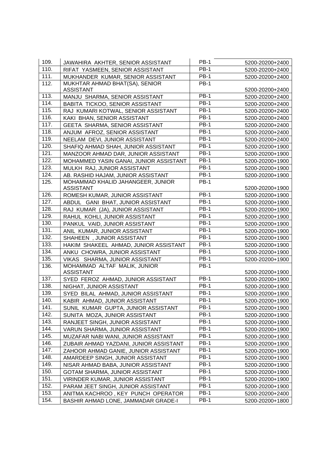| 109. | JAWAHIRA AKHTER, SENIOR ASSISTANT                     | <b>PB-1</b> | 5200-20200+2400 |
|------|-------------------------------------------------------|-------------|-----------------|
| 110. | RIFAT YASMEEN, SENIOR ASSISTANT                       | <b>PB-1</b> | 5200-20200+2400 |
| 111. | MUKHANDER KUMAR, SENIOR ASSISTANT                     | $PB-1$      | 5200-20200+2400 |
| 112. | MUKHTAR AHMAD BHAT(SA), SENIOR                        | <b>PB-1</b> |                 |
|      | ASSISTANT                                             |             | 5200-20200+2400 |
| 113. | MANJU SHARMA, SENIOR ASSISTANT                        | <b>PB-1</b> | 5200-20200+2400 |
| 114. | BABITA TICKOO, SENIOR ASSISTANT                       | <b>PB-1</b> | 5200-20200+2400 |
| 115. | RAJ KUMARI KOTWAL, SENIOR ASSISTANT                   | <b>PB-1</b> | 5200-20200+2400 |
| 116. | KAKI BHAN, SENIOR ASSISTANT                           | <b>PB-1</b> | 5200-20200+2400 |
| 117. | GEETA SHARMA, SENIOR ASSISTANT                        | <b>PB-1</b> | 5200-20200+2400 |
| 118. | ANJUM AFROZ, SENIOR ASSISTANT                         | <b>PB-1</b> | 5200-20200+2400 |
| 119. | NEELAM DEVI, JUNIOR ASSISTANT                         | <b>PB-1</b> | 5200-20200+2400 |
| 120. | SHAFIQ AHMAD SHAH, JUNIOR ASSISTANT                   | <b>PB-1</b> | 5200-20200+1900 |
| 121. | MANZOOR AHMAD DAR, JUNIOR ASSISTANT                   | <b>PB-1</b> | 5200-20200+1900 |
| 122. | MOHAMMED YASIN GANAI, JUNIOR ASSISTANT                | <b>PB-1</b> | 5200-20200+1900 |
| 123. | MULKH RAJ, JUNIOR ASSISTANT                           | <b>PB-1</b> | 5200-20200+1900 |
| 124. | AB. RASHID HAJAM, JUNIOR ASSISTANT                    | <b>PB-1</b> | 5200-20200+1900 |
| 125. | MOHAMMAD KHALID JAHANGEER, JUNIOR<br><b>ASSISTANT</b> | <b>PB-1</b> | 5200-20200+1900 |
| 126. | ROMESH KUMAR, JUNIOR ASSISTANT                        | <b>PB-1</b> | 5200-20200+1900 |
| 127. | ABDUL GANI BHAT, JUNIOR ASSISTANT                     | <b>PB-1</b> | 5200-20200+1900 |
| 128. | RAJ KUMAR (JA), JUNIOR ASSISTANT                      | <b>PB-1</b> | 5200-20200+1900 |
| 129. | RAHUL KOHLI, JUNIOR ASSISTANT                         | <b>PB-1</b> | 5200-20200+1900 |
| 130. | PANKUL VAID, JUNIOR ASSISTANT                         | <b>PB-1</b> | 5200-20200+1900 |
| 131. | ANIL KUMAR, JUNIOR ASSISTANT                          | <b>PB-1</b> | 5200-20200+1900 |
| 132. | SHAHEEN, JUNIOR ASSISTANT                             | <b>PB-1</b> | 5200-20200+1900 |
| 133. | HAKIM SHAKEEL AHMAD, JUNIOR ASSISTANT                 | <b>PB-1</b> | 5200-20200+1900 |
| 134. | ANKU CHOWRA, JUNIOR ASSISTANT                         | <b>PB-1</b> | 5200-20200+1900 |
| 135. | VIKAS SHARMA, JUNIOR ASSISTANT                        | <b>PB-1</b> | 5200-20200+1900 |
| 136. | MOHAMMAD ALTAF MALIK, JUNIOR<br><b>ASSISTANT</b>      | <b>PB-1</b> | 5200-20200+1900 |
| 137. | SYED FEROZ AHMAD, JUNIOR ASSISTANT                    | <b>PB-1</b> | 5200-20200+1900 |
| 138. | NIGHAT, JUNIOR ASSISTANT                              | <b>PB-1</b> | 5200-20200+1900 |
| 139. | SYED BILAL AHMAD, JUNIOR ASSISTANT                    | $PB-1$      | 5200-20200+1900 |
| 140. | KABIR AHMAD, JUNIOR ASSISTANT                         | <b>PB-1</b> | 5200-20200+1900 |
| 141. | SUNIL KUMAR GUPTA, JUNIOR ASSISTANT                   | <b>PB-1</b> | 5200-20200+1900 |
| 142. | SUNITA MOZA, JUNIOR ASSISTANT                         | <b>PB-1</b> | 5200-20200+1900 |
| 143. | RANJEET SINGH, JUNIOR ASSISTANT                       | <b>PB-1</b> | 5200-20200+1900 |
| 144. | VARUN SHARMA, JUNIOR ASSISTANT                        | <b>PB-1</b> | 5200-20200+1900 |
| 145. | MUZAFAR NABI WANI, JUNIOR ASSISTANT                   | <b>PB-1</b> | 5200-20200+1900 |
| 146. | ZUBAIR AHMAD YAZDANI, JUNIOR ASSISTANT                | <b>PB-1</b> | 5200-20200+1900 |
| 147. | ZAHOOR AHMAD GANIE, JUNIOR ASSISTANT                  | <b>PB-1</b> | 5200-20200+1900 |
| 148. | AMARDEEP SINGH, JUNIOR ASSISTANT                      | PB-1        | 5200-20200+1900 |
| 149. | NISAR AHMAD BABA, JUNIOR ASSISTANT                    | PB-1        | 5200-20200+1900 |
| 150. | GOTAM SHARMA, JUNIOR ASSISTANT                        | <b>PB-1</b> | 5200-20200+1900 |
| 151. | VIRINDER KUMAR, JUNIOR ASSISTANT                      | <b>PB-1</b> | 5200-20200+1900 |
| 152. | PARAM JEET SINGH, JUNIOR ASSISTANT                    | PB-1        | 5200-20200+1900 |
| 153. | ANITMA KACHROO, KEY PUNCH OPERATOR                    | <b>PB-1</b> | 5200-20200+2400 |
| 154. | BASHIR AHMAD LONE, JAMMADAR GRADE-I                   | <b>PB-1</b> | 5200-20200+1800 |